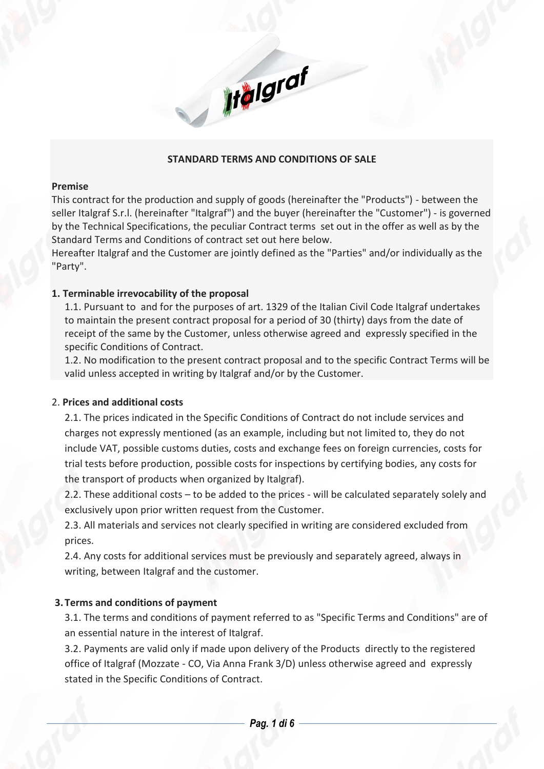# **STANDARD TERMS AND CONDITIONS OF SALE**

**Ifalgraf** 

#### **Premise**

This contract for the production and supply of goods (hereinafter the "Products") - between the seller Italgraf S.r.l. (hereinafter "Italgraf") and the buyer (hereinafter the "Customer") - is governed by the Technical Specifications, the peculiar Contract terms set out in the offer as well as by the Standard Terms and Conditions of contract set out here below.

Hereafter Italgraf and the Customer are jointly defined as the "Parties" and/or individually as the "Party".

## **1. Terminable irrevocability of the proposal**

1.1. Pursuant to and for the purposes of art. 1329 of the Italian Civil Code Italgraf undertakes to maintain the present contract proposal for a period of 30 (thirty) days from the date of receipt of the same by the Customer, unless otherwise agreed and expressly specified in the specific Conditions of Contract.

1.2. No modification to the present contract proposal and to the specific Contract Terms will be valid unless accepted in writing by Italgraf and/or by the Customer.

# 2. **Prices and additional costs**

2.1. The prices indicated in the Specific Conditions of Contract do not include services and charges not expressly mentioned (as an example, including but not limited to, they do not include VAT, possible customs duties, costs and exchange fees on foreign currencies, costs for trial tests before production, possible costs for inspections by certifying bodies, any costs for the transport of products when organized by Italgraf).

2.2. These additional costs – to be added to the prices - will be calculated separately solely and exclusively upon prior written request from the Customer.

2.3. All materials and services not clearly specified in writing are considered excluded from prices.

2.4. Any costs for additional services must be previously and separately agreed, always in writing, between Italgraf and the customer.

# **3.Terms and conditions of payment**

3.1. The terms and conditions of payment referred to as "Specific Terms and Conditions" are of an essential nature in the interest of Italgraf.

3.2. Payments are valid only if made upon delivery of the Products directly to the registered office of Italgraf (Mozzate - CO, Via Anna Frank 3/D) unless otherwise agreed and expressly stated in the Specific Conditions of Contract.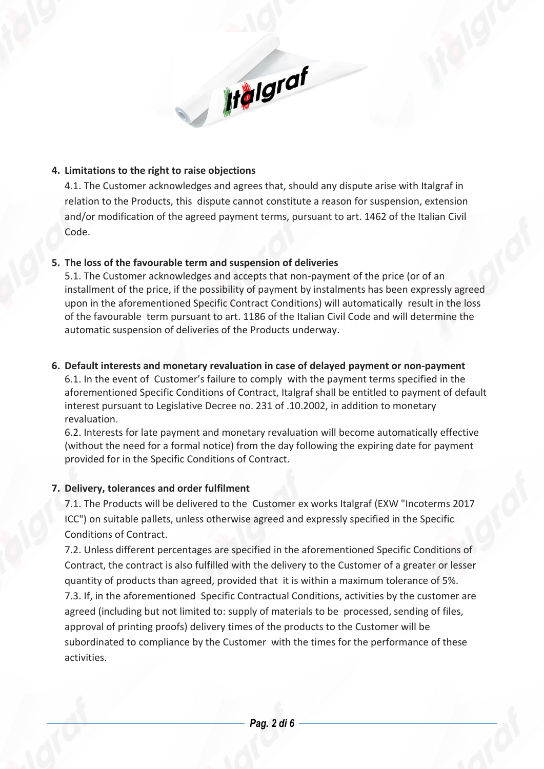# **4. Limitations to the right to raise objections**

4.1. The Customer acknowledges and agrees that, should any dispute arise with Italgraf in relation to the Products, this dispute cannot constitute a reason for suspension, extension and/or modification of the agreed payment terms, pursuant to art. 1462 of the Italian Civil Code.

**If algraf** 

## **5. The loss of the favourable term and suspension of deliveries**

5.1. The Customer acknowledges and accepts that non-payment of the price (or of an installment of the price, if the possibility of payment by instalments has been expressly agreed upon in the aforementioned Specific Contract Conditions) will automatically result in the loss of the favourable term pursuant to art. 1186 of the Italian Civil Code and will determine the automatic suspension of deliveries of the Products underway.

## **6. Default interests and monetary revaluation in case of delayed payment or non-payment**

6.1. In the event of Customer's failure to comply with the payment terms specified in the aforementioned Specific Conditions of Contract, Italgraf shall be entitled to payment of default interest pursuant to Legislative Decree no. 231 of .10.2002, in addition to monetary revaluation.

6.2. Interests for late payment and monetary revaluation will become automatically effective (without the need for a formal notice) from the day following the expiring date for payment provided for in the Specific Conditions of Contract.

# **7. Delivery, tolerances and order fulfilment**

7.1. The Products will be delivered to the Customer ex works Italgraf (EXW "Incoterms 2017 ICC") on suitable pallets, unless otherwise agreed and expressly specified in the Specific Conditions of Contract.

7.2. Unless different percentages are specified in the aforementioned Specific Conditions of Contract, the contract is also fulfilled with the delivery to the Customer of a greater or lesser quantity of products than agreed, provided that it is within a maximum tolerance of 5%. 7.3. If, in the aforementioned Specific Contractual Conditions, activities by the customer are agreed (including but not limited to: supply of materials to be processed, sending of files, approval of printing proofs) delivery times of the products to the Customer will be subordinated to compliance by the Customer with the times for the performance of these activities.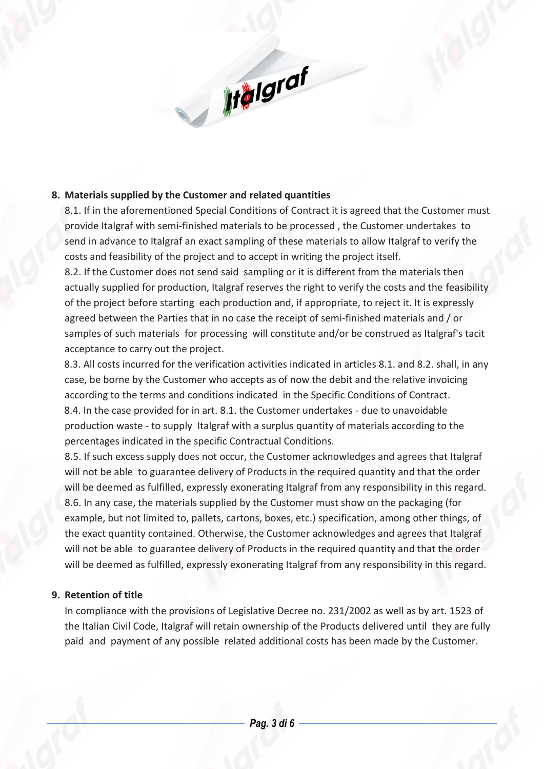# **8. Materials supplied by the Customer and related quantities**

8.1. If in the aforementioned Special Conditions of Contract it is agreed that the Customer must provide Italgraf with semi-finished materials to be processed , the Customer undertakes to send in advance to Italgraf an exact sampling of these materials to allow Italgraf to verify the costs and feasibility of the project and to accept in writing the project itself.

Iralgraf

8.2. If the Customer does not send said sampling or it is different from the materials then actually supplied for production, Italgraf reserves the right to verify the costs and the feasibility of the project before starting each production and, if appropriate, to reject it. It is expressly agreed between the Parties that in no case the receipt of semi-finished materials and / or samples of such materials for processing will constitute and/or be construed as Italgraf's tacit acceptance to carry out the project.

 8.3. All costs incurred for the verification activities indicated in articles 8.1. and 8.2. shall, in any case, be borne by the Customer who accepts as of now the debit and the relative invoicing according to the terms and conditions indicated in the Specific Conditions of Contract. 8.4. In the case provided for in art. 8.1. the Customer undertakes - due to unavoidable production waste - to supply Italgraf with a surplus quantity of materials according to the percentages indicated in the specific Contractual Conditions.

8.5. If such excess supply does not occur, the Customer acknowledges and agrees that Italgraf will not be able to guarantee delivery of Products in the required quantity and that the order will be deemed as fulfilled, expressly exonerating Italgraf from any responsibility in this regard. 8.6. In any case, the materials supplied by the Customer must show on the packaging (for example, but not limited to, pallets, cartons, boxes, etc.) specification, among other things, of the exact quantity contained. Otherwise, the Customer acknowledges and agrees that Italgraf will not be able to guarantee delivery of Products in the required quantity and that the order will be deemed as fulfilled, expressly exonerating Italgraf from any responsibility in this regard.

# **9. Retention of title**

In compliance with the provisions of Legislative Decree no. 231/2002 as well as by art. 1523 of the Italian Civil Code, Italgraf will retain ownership of the Products delivered until they are fully paid and payment of any possible related additional costs has been made by the Customer.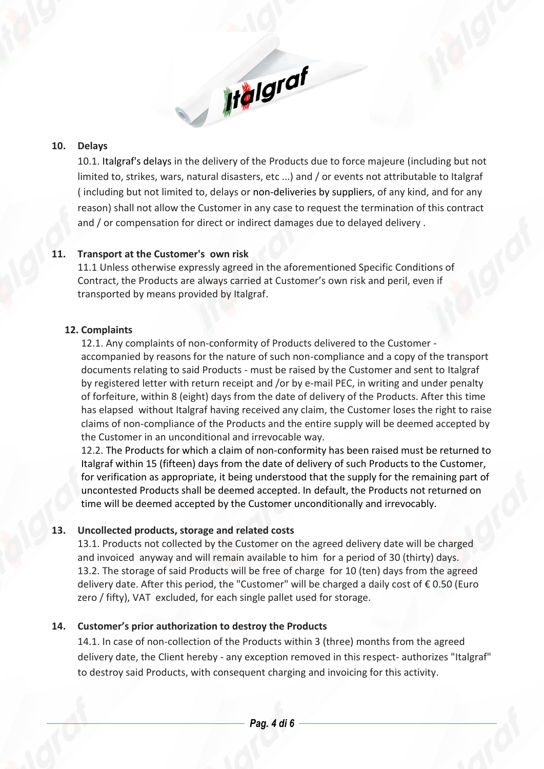#### **10. Delays**

10.1. Italgraf's delays in the delivery of the Products due to force majeure (including but not limited to, strikes, wars, natural disasters, etc ...) and / or events not attributable to Italgraf ( including but not limited to, delays or non-deliveries by suppliers, of any kind, and for any reason) shall not allow the Customer in any case to request the termination of this contract and / or compensation for direct or indirect damages due to delayed delivery .

**Italgraf** 

# **11. Transport at the Customer's own risk**

11.1 Unless otherwise expressly agreed in the aforementioned Specific Conditions of Contract, the Products are always carried at Customer's own risk and peril, even if transported by means provided by Italgraf.

## **12. Complaints**

12.1. Any complaints of non-conformity of Products delivered to the Customer accompanied by reasons for the nature of such non-compliance and a copy of the transport documents relating to said Products - must be raised by the Customer and sent to Italgraf by registered letter with return receipt and /or by e-mail PEC, in writing and under penalty of forfeiture, within 8 (eight) days from the date of delivery of the Products. After this time has elapsed without Italgraf having received any claim, the Customer loses the right to raise claims of non-compliance of the Products and the entire supply will be deemed accepted by the Customer in an unconditional and irrevocable way.

12.2. The Products for which a claim of non-conformity has been raised must be returned to Italgraf within 15 (fifteen) days from the date of delivery of such Products to the Customer, for verification as appropriate, it being understood that the supply for the remaining part of uncontested Products shall be deemed accepted. In default, the Products not returned on time will be deemed accepted by the Customer unconditionally and irrevocably*.*

# **13. Uncollected products, storage and related costs**

13.1. Products not collected by the Customer on the agreed delivery date will be charged and invoiced anyway and will remain available to him for a period of 30 (thirty) days. 13.2. The storage of said Products will be free of charge for 10 (ten) days from the agreed delivery date. After this period, the "Customer" will be charged a daily cost of €0.50 (Euro zero / fifty), VAT excluded, for each single pallet used for storage.

# **14. Customer's prior authorization to destroy the Products**

14.1. In case of non-collection of the Products within 3 (three) months from the agreed delivery date, the Client hereby - any exception removed in this respect- authorizes "Italgraf" to destroy said Products, with consequent charging and invoicing for this activity.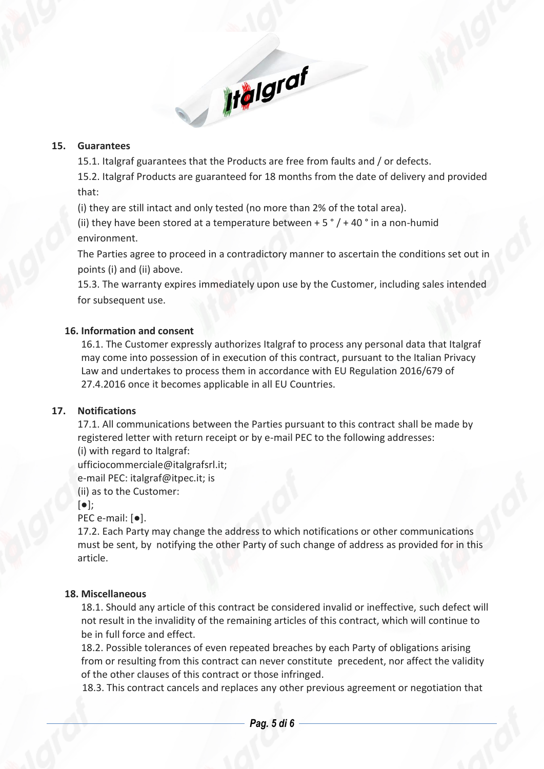#### **15. Guarantees**

15.1. Italgraf guarantees that the Products are free from faults and / or defects.

**Ifalgraf** 

15.2. Italgraf Products are guaranteed for 18 months from the date of delivery and provided that:

(i) they are still intact and only tested (no more than 2% of the total area).

(ii) they have been stored at a temperature between  $+5\degree/ +40\degree$  in a non-humid environment.

The Parties agree to proceed in a contradictory manner to ascertain the conditions set out in points (i) and (ii) above.

15.3. The warranty expires immediately upon use by the Customer, including sales intended for subsequent use.

## **16. Information and consent**

16.1. The Customer expressly authorizes Italgraf to process any personal data that Italgraf may come into possession of in execution of this contract, pursuant to the Italian Privacy Law and undertakes to process them in accordance with EU Regulation 2016/679 of 27.4.2016 once it becomes applicable in all EU Countries.

#### **17. Notifications**

17.1. All communications between the Parties pursuant to this contract shall be made by registered letter with return receipt or by e-mail PEC to the following addresses: (i) with regard to Italgraf:

ufficiocommerciale@italgrafsrl.it;

e-mail PEC: italgraf@itpec.it; is

(ii) as to the Customer:

#### [●];

PEC e-mail: [●].

17.2. Each Party may change the address to which notifications or other communications must be sent, by notifying the other Party of such change of address as provided for in this article.

#### **18. Miscellaneous**

18.1. Should any article of this contract be considered invalid or ineffective, such defect will not result in the invalidity of the remaining articles of this contract, which will continue to be in full force and effect.

18.2. Possible tolerances of even repeated breaches by each Party of obligations arising from or resulting from this contract can never constitute precedent, nor affect the validity of the other clauses of this contract or those infringed.

18.3. This contract cancels and replaces any other previous agreement or negotiation that